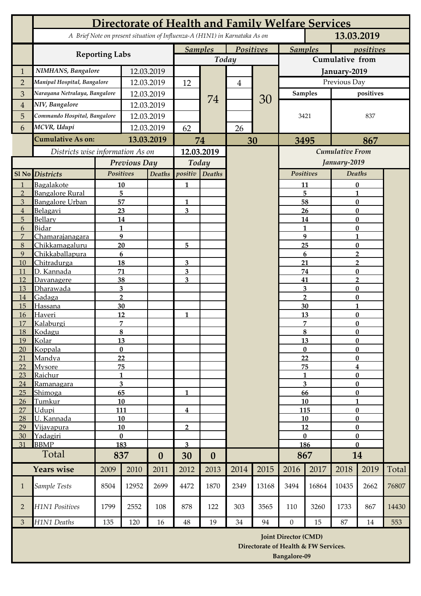|                | Directorate of Health and Family Welfare Services |                    |              |                  |                                                                            |                  |                |                |                                                                     |                         |                                     |                      |       |  |
|----------------|---------------------------------------------------|--------------------|--------------|------------------|----------------------------------------------------------------------------|------------------|----------------|----------------|---------------------------------------------------------------------|-------------------------|-------------------------------------|----------------------|-------|--|
|                |                                                   |                    |              |                  | A Brief Note on present situation of Influenza-A (H1N1) in Karnataka As on |                  |                |                | 13.03.2019                                                          |                         |                                     |                      |       |  |
|                | <b>Reporting Labs</b>                             |                    |              |                  | <b>Samples</b><br><b>Positives</b>                                         |                  |                | <b>Samples</b> |                                                                     |                         | positives                           |                      |       |  |
|                |                                                   |                    |              |                  | Today                                                                      |                  |                |                | <b>Cumulative from</b>                                              |                         |                                     |                      |       |  |
| $\mathbf{1}$   | NIMHANS, Bangalore                                | 12.03.2019         |              |                  |                                                                            |                  |                | January-2019   |                                                                     |                         |                                     |                      |       |  |
| $\overline{2}$ | Manipal Hospital, Bangalore                       |                    | 12.03.2019   |                  | 12                                                                         |                  | $\overline{4}$ |                | Previous Day                                                        |                         |                                     |                      |       |  |
| 3              | Narayana Netralaya, Bangalore                     |                    | 12.03.2019   |                  |                                                                            | 74               |                |                | <b>Samples</b>                                                      |                         | positives                           |                      |       |  |
| $\overline{4}$ | NIV, Bangalore                                    |                    | 12.03.2019   |                  |                                                                            |                  |                | 30             | 3421                                                                |                         | 837                                 |                      |       |  |
| 5              | Commando Hospital, Bangalore                      | 12.03.2019         |              |                  |                                                                            |                  |                |                |                                                                     |                         |                                     |                      |       |  |
| 6              | MCVR, Udupi                                       | 12.03.2019         |              | 62               |                                                                            | 26               |                |                |                                                                     |                         |                                     |                      |       |  |
|                | <b>Cumulative As on:</b>                          | 13.03.2019         |              | 74               |                                                                            | 30               |                | 3495           |                                                                     | 867                     |                                     |                      |       |  |
|                | Districts wise information As on                  |                    |              |                  |                                                                            | 12.03.2019       |                |                |                                                                     | <b>Cumulative From</b>  |                                     |                      |       |  |
|                |                                                   |                    | Previous Day |                  | Today                                                                      |                  |                |                | January-2019                                                        |                         |                                     |                      |       |  |
|                | Sl No Districts                                   |                    | Positives    |                  | positiv                                                                    | <b>Deaths</b>    |                |                | Positives                                                           |                         |                                     | <b>Deaths</b>        |       |  |
| $\mathbf{1}$   | Bagalakote                                        |                    | 10           | Deaths           | 1                                                                          |                  |                |                | 11                                                                  |                         |                                     | $\bf{0}$             |       |  |
| $\overline{2}$ | Bangalore Rural                                   | 5                  |              |                  |                                                                            |                  |                |                |                                                                     | 5                       |                                     | 1                    |       |  |
| $\overline{3}$ | Bangalore Urban                                   |                    | 57           |                  | 1                                                                          |                  |                |                | 58                                                                  |                         | $\bf{0}$                            |                      |       |  |
| $\overline{4}$ | <b>Belagavi</b>                                   |                    | 23           |                  | 3                                                                          |                  |                |                |                                                                     | 26                      |                                     | $\bf{0}$             |       |  |
| 5<br>6         | Bellary<br><b>Bidar</b>                           | 14<br>$\mathbf{1}$ |              |                  |                                                                            |                  |                |                |                                                                     | 14<br>$\mathbf{1}$      |                                     | $\bf{0}$<br>$\bf{0}$ |       |  |
| 7              | Chamarajanagara                                   | 9                  |              |                  |                                                                            |                  |                |                |                                                                     | 9                       |                                     | $\mathbf{1}$         |       |  |
| 8              | Chikkamagaluru                                    | 20                 |              |                  | 5                                                                          |                  |                |                |                                                                     | 25                      | $\bf{0}$                            |                      |       |  |
| 9              | Chikkaballapura                                   | $6\phantom{1}$     |              |                  |                                                                            |                  |                |                |                                                                     | $6\phantom{.}6$         | $\overline{2}$                      |                      |       |  |
| 10             | Chitradurga                                       |                    |              | 18               |                                                                            |                  |                |                | 21                                                                  |                         | $\overline{2}$<br>$\bf{0}$          |                      |       |  |
| 11<br>12       | D. Kannada<br>Davanagere                          | 71<br>38           |              |                  | 3 <sup>1</sup><br>$\overline{3}$                                           |                  |                |                | 74<br>41                                                            |                         | $\overline{2}$                      |                      |       |  |
| 13             | Dharawada                                         |                    | 3            |                  |                                                                            |                  |                |                |                                                                     | $\overline{\mathbf{3}}$ |                                     | $\bf{0}$             |       |  |
| 14             | Gadaga                                            | $\overline{2}$     |              |                  |                                                                            |                  |                |                | $\overline{2}$                                                      |                         | $\mathbf{0}$                        |                      |       |  |
| 15             | <b>Hassana</b>                                    |                    | 30           |                  |                                                                            |                  |                |                | 30                                                                  |                         | 1                                   |                      |       |  |
| 16<br>17       | Haveri<br>Kalaburgi                               |                    | 12<br>7      |                  | 1                                                                          |                  |                |                | 13<br>7                                                             |                         | $\bf{0}$<br>$\bf{0}$                |                      |       |  |
| 18             | Kodagu                                            | $\overline{8}$     |              |                  |                                                                            |                  |                |                | $\overline{8}$                                                      |                         | $\bf{0}$                            |                      |       |  |
| 19             | Kolar                                             | 13                 |              |                  |                                                                            |                  |                |                |                                                                     | 13                      |                                     | $\bf{0}$             |       |  |
| 20             | <b>Koppala</b>                                    |                    | $\bf{0}$     |                  |                                                                            |                  |                |                | $\bf{0}$                                                            |                         | $\bf{0}$                            |                      |       |  |
| 21<br>22       | Mandya<br>Mysore                                  |                    | 22<br>75     |                  |                                                                            |                  |                |                | 22<br>75                                                            |                         | $\bf{0}$<br>$\overline{\mathbf{4}}$ |                      |       |  |
| 23             | <u>Raichur</u>                                    |                    | $\mathbf{1}$ |                  |                                                                            |                  |                |                |                                                                     | $\mathbf{1}$            |                                     | $\bf{0}$             |       |  |
| 24             | R <u>amanagara</u>                                |                    | 3            |                  |                                                                            |                  |                |                | $\overline{\mathbf{3}}$                                             |                         | $\bf{0}$                            |                      |       |  |
| 25             | Shimoga                                           |                    | 65           |                  | 1                                                                          |                  |                |                | 66                                                                  |                         | $\bf{0}$                            |                      |       |  |
| 26             | <u>Tumkur</u><br>Udupi                            | 10<br>111          |              |                  |                                                                            |                  |                |                | 10<br>115                                                           |                         | $\mathbf{1}$<br>$\bf{0}$            |                      |       |  |
| 27<br>28       | <u>U. Kannada</u>                                 | 10                 |              |                  | $\bf{4}$                                                                   |                  |                |                |                                                                     | 10                      | $\bf{0}$                            |                      |       |  |
| 29             | <u>Vijavapura</u>                                 | 10                 |              |                  | $\overline{2}$                                                             |                  |                |                | 12                                                                  |                         | $\bf{0}$                            |                      |       |  |
| 30             | <u>Yadagiri</u>                                   | $\bf{0}$           |              |                  |                                                                            |                  |                |                | $\bf{0}$                                                            |                         | $\bf{0}$                            |                      |       |  |
| 31             | <b>BBMP</b>                                       |                    | 183          |                  | $\overline{3}$                                                             |                  |                |                | 186                                                                 |                         | $\bf{0}$                            |                      |       |  |
| Total          |                                                   | 837                |              | $\boldsymbol{0}$ | 30                                                                         | $\boldsymbol{0}$ |                |                | 867                                                                 |                         | <b>14</b>                           |                      |       |  |
|                | <b>Years wise</b>                                 | 2009               | 2010         | 2011             | 2012                                                                       | 2013             | 2014           | 2015           | 2016                                                                | 2017                    | 2018                                | 2019                 | Total |  |
| $\mathbf{1}$   | Sample Tests                                      | 8504               | 12952        | 2699             | 4472                                                                       | 1870             | 2349           | 13168          | 3494                                                                | 16864                   | 10435                               | 2662                 | 76807 |  |
| $\overline{2}$ | H1N1 Positives                                    | 1799               | 2552         | 108              | 878                                                                        | 122              | 303            | 3565           | 110                                                                 | 3260                    | 1733                                | 867                  | 14430 |  |
| $\overline{3}$ | H1N1 Deaths                                       | 135                | 120          | 16               | 48                                                                         | 19               | 34             | 94             | $\mathbf{0}$                                                        | 15                      | 87                                  | 14                   | 553   |  |
|                |                                                   |                    |              |                  |                                                                            |                  |                |                | <b>Joint Director (CMD)</b><br>Directorate of Health & FW Services. |                         |                                     |                      |       |  |

**Bangalore-09**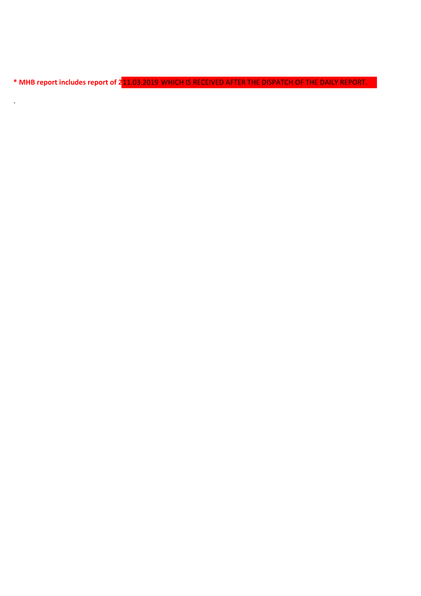**\* MHB report includes report of 27.02.2019 which is received after the dispatch of the daily report** 11.03.2019 WHICH IS RECEIVED AFTER THE DISPATCH OF THE DAILY REPORT.

 $\mathbf{v}_{\mathrm{in}}$